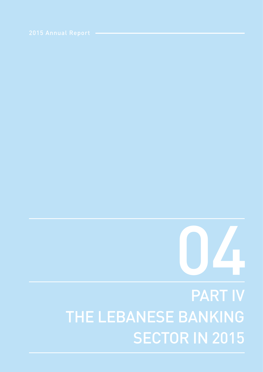# 04

# PART IV THE LEBANESE BANKING SECTOR IN 2015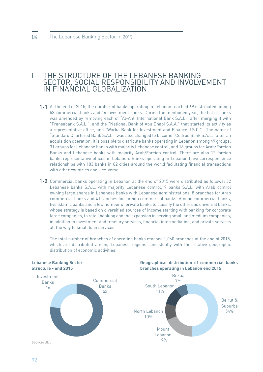### I- THE STRUCTURE OF THE LEBANESE BANKING SECTOR, SOCIAL RESPONSIBILITY AND INVOLVEMENT IN FINANCIAL GLOBALIZATION

- At the end of 2015, the number of banks operating in Lebanon reached 69 distributed among **1-1** 53 commercial banks and 16 investment banks. During the mentioned year, the list of banks was amended by removing each of "Al-Ahli International Bank S.A.L." after merging it with "Fransabank S.A.L.", and the "National Bank of Abu Dhabi S.A.A." that started its activity as a representative office, and "Warka Bank for Investment and Finance J.S.C.". The name of "Standard Chartered Bank S.A.L." was also changed to become "Cedrus Bank S.A.L." after an acquisition operation. It is possible to distribute banks operating in Lebanon among 49 groups: 31 groups for Lebanese banks with majority Lebanese control, and 18 groups for Arab/Foreign Banks and Lebanese banks with majority Arab/Foreign control. There are also 12 foreign banks representative offices in Lebanon. Banks operating in Lebanon have correspondence relationships with 183 banks in 82 cities around the world facilitating financial transactions with other countries and vice-versa.
- **1-2** Commercial banks operating in Lebanon at the end of 2015 were distributed as follows: 32 Lebanese banks S.A.L. with majority Lebanese control, 9 banks S.A.L. with Arab control owning large shares in Lebanese banks with Lebanese administrations, 8 branches for Arab commercial banks and 4 branches for foreign commercial banks. Among commercial banks, five Islamic banks and a few number of private banks to classify the others as universal banks, whose strategy is based on diversified sources of income starting with banking for corporate large companies, to retail banking and the expansion in serving small and medium companies, in addition to investment and treasury services, financial intermediation, and private services all the way to small loan services.

The total number of branches of operating banks reached 1,060 branches at the end of 2015, which are distributed among Lebanese regions consistently with the relative geographic distribution of economic activities.

**Geographical distribution of commercial banks** 

Beirut & Suburbs 54%



#### **Lebanese Banking Sector Structure - end 2015**

92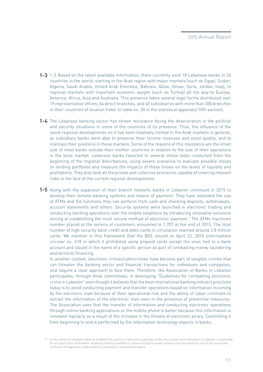- 1-3 Based on the latest available information, there currently exist 18 Lebanese banks in 32 **1-3** countries in the world: starting in the Arab region with major markets (such as Egypt, Sudan, Algeria, Saudi Arabia, United Arab Emirates, Bahrain, Qatar, Oman, Syria, Jordan, Iraq), to regional markets with important economic weight (such as Turkey) all the way to Europe, America, Africa, Asia and Australia. This presence takes several legal forms distributed over 19 representative offices, 64 direct branches, and 40 subsidiaries with more than 300 branches in their countries of location (refer to table no. 20 in the statistical appendix/ fifth section).
- **1-4** The Lebanese banking sector has shown resistance facing the deterioration in the political and security situations in some of the countries of its presence. Thus, the influence of the latest regional developments on it has been relatively limited in the Arab markets in general, as subsidiary banks were able to preserve their income revenues and asset quality, and to maintain their positions in these markets. Some of the reasons of this resistance are the small size of most banks outside their mother countries in relation to the size of their operations in the local market. Lebanese banks resorted to several stress tests conducted from the beginning of the regional disturbances, using severe scenarios to evaluate possible losses on lending portfolios and measure the impacts of these losses on the levels of liquidity and profitability. They also took all the private and collective provisions capable of covering relevant risks in the face of the current regional developments.
- **1-5** Along with the expansion of their branch network, banks in Lebanon continued in 2015 to develop their remote banking systems and means of payment. They have extended the use of ATMs and the functions they can perform from cash and checking deposits, withdrawals, account statements and others. Security systems were launched in electronic trading and conducting banking operations over the mobile telephone by introducing innovative solutions aiming at establishing the most secure method of electronic payment.<sup>1</sup> The ATMs machines number placed at the service of customers amounted to 1,707 at the end of 2015. The total number of high security bank credit and debit cards in circulation reached around 2.8 million cards. We mention in this framework that the BDL issued on April 22, 2016 intermediate circular no. 418 in which it prohibited using prepaid cards except the ones tied to a bank account and issued in the name of a specific person as part of combatting money laundering and terrorist financing.

In another context, electronic crimes/cybercrimes have become part of tangible crimes that can threaten the banking sector and financial transactions for individuals and companies, and require a clear approach to face them. Therefore, the Association of Banks in Lebanon participates, through three committees, in developing "Guidelines for combatting electronic crime in Lebanon" even though it believes that the best international banking industry practices today is to avoid conducting payment and transfer operations based on information incoming by the electronic mail because of their operational risk and the ability of cyber criminals to extract the information of the electronic mail even in the presence of preventive measures. The Association sees that the transfer of information and conducting electronic operations through online banking applications or the mobile phone is better because this information is renewed regularly as a result of the increase in the threats of electronic piracy. Controlling it from beginning to end is performed by the information technology experts in banks.

In the context of initiatives taken to establish the systems of electronic payments at the directorates and institutions in Lebanon, it is possible 1for all subscribers at the Water Authority of Beirut and Mount Lebanon to pay for water services over the electronic site of the concerned institution through bank cards issued by Lebanese or international banks.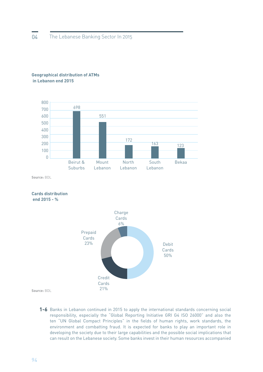#### **Geographical distribution of ATMs in Lebanon end 2015**



**Source:** BDL





**Source:** BDL

**1-6** Banks in Lebanon continued in 2015 to apply the international standards concerning social responsibility, especially the "Global Reporting Initiative GRI G4 ISO 26000" and also the ten "UN Global Compact Principles" in the fields of human rights, work standards, the environment and combatting fraud. It is expected for banks to play an important role in developing the society due to their large capabilities and the possible social implications that can result on the Lebanese society. Some banks invest in their human resources accompanied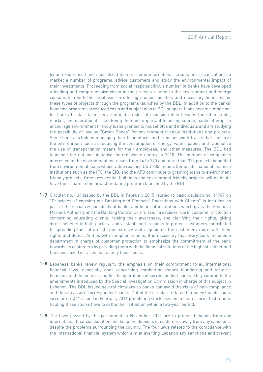by an experienced and specialized team of some international groups and organizations to market a number of programs, advice customers and study the environmental impact of their investments. Proceeding from social responsibility, a number of banks have developed a leading and comprehensive vision in the projects related to the environment and energy consumption with the emphasis on offering studied facilities and necessary financing for these types of projects through the programs launched by the BDL, in addition to the banks' financing programs at reduced costs and subject also to BDL support. It has become important for banks to start taking environmental risks into consideration besides the other credit, market, and operational risks. Being the most important financing source, banks attempt to encourage environment friendly loans granted to households and individuals and are studying the possibility of issuing "Green Bonds" for environment friendly institutions and projects. Some banks include in managing their head offices and branches work tracks that conserve the environment such as reducing the consumption of energy, water, paper, and rationalize the use of transportation means for their employees, and other measures. The BDL had launched the national initiative for renewable energy in 2010. The number of companies interested in the environment increased from 34 to 270 and more than 325 projects benefited from environmental loans whose value reached USD 280 million. Some international financial institutions such as the IFC, the EIB, and the AFD contribute to granting loans to environment friendly projects. Green residential buildings and environment friendly projects will no doubt have their share in the new stimulating program launched by the BDL.

- Circular no. 134 issued by the BDL in February 2015 related to basic decision no. 11947 on **1-7** "Principles of carrying out Banking and Financial Operations with Clients" is included as part of the social responsibility of banks and financial institutions which gives the Financial Markets Authority and the Banking Control Commission a decisive role in customer protection concerning educating clients, raising their awareness, and clarifying their rights, giving direct benefits to both parties. Units established in banks to protect customers contributed to spreading the culture of transparency and acquainted the customers more with their rights and duties. And as with compliance units, it is necessary that every bank includes a department in charge of customer protection to emphasize the commitment of the bank towards its customers by providing them with the financial solutions of the highest caliber and the specialized services that satisfy their needs.
- **1-8** Lebanese banks renew regularly the emphasis on their commitment to all international financial laws, especially ones concerning combatting money laundering and terrorist financing and the ones caring for the operations of correspondent banks. They commit to the amendments introduced by the Special Investigation Commission in charge of this subject in Lebanon. The BDL issued several circulars so banks can avoid the risks of non-compliance and thus to assure correspondent banks. Out of the circulars related to money laundering is circular no. 411 issued in February 2016 prohibiting stocks issued in bearer form. Institutions holding these stocks have to settle their situation within a two-year period.
- 1-9 The laws passed by the parliament in November 2015 are to protect Lebanon from any international financial isolation and keep the deposits of customers away from any sanctions, despite the problems surrounding the country. The four laws related to the compliance with the international financial system which aim at averting Lebanon any sanctions and prevent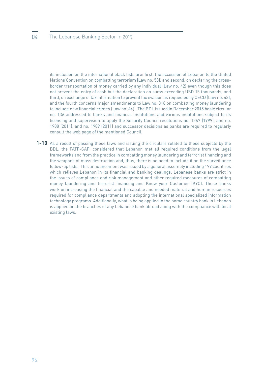its inclusion on the international black lists are: first, the accession of Lebanon to the United Nations Convention on combatting terrorism (Law no. 53), and second, on declaring the crossborder transportation of money carried by any individual (Law no. 42) even though this does not prevent the entry of cash but the declaration on sums exceeding USD 15 thousands, and third, on exchange of tax information to prevent tax evasion as requested by OECD (Law no. 43), and the fourth concerns major amendments to Law no. 318 on combatting money laundering to include new financial crimes (Law no. 44). The BDL issued in December 2015 basic circular no. 136 addressed to banks and financial institutions and various institutions subject to its licensing and supervision to apply the Security Council resolutions no. 1267 (1999), and no. 1988 (2011), and no. 1989 (2011) and successor decisions as banks are required to regularly consult the web page of the mentioned Council.

**1-10** As a result of passing these laws and issuing the circulars related to these subjects by the BDL, the FATF-GAFI considered that Lebanon met all required conditions from the legal frameworks and from the practice in combatting money laundering and terrorist financing and the weapons of mass destruction and, thus, there is no need to include it on the surveillance follow-up lists. This announcement was issued by a general assembly including 199 countries which relieves Lebanon in its financial and banking dealings. Lebanese banks are strict in the issues of compliance and risk management and other required measures of combatting money laundering and terrorist financing and Know your Customer (KYC). These banks work on increasing the financial and the capable and needed material and human resources required for compliance departments and adopting the international specialized information technology programs. Additionally, what is being applied in the home country bank in Lebanon is applied on the branches of any Lebanese bank abroad along with the compliance with local existing laws.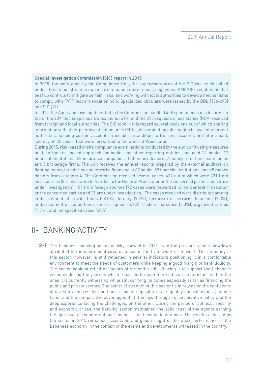#### **Special Investigation Commission (SIC) report in 2015**

In 2015, the work done by the Compliance Unit, the supervisory arm of the SIC can be classified under three main streams: making examination more robust, suggesting AML/CFT regulations that beef up controls to mitigate certain risks, and working with local authorities to develop mechanisms to comply with FATF recommendation no 6. Specialized circulars were issued by the BDL (136-393) and SIC (19).

In 2015, the Audit and Investigation Unit in the Commission handled 458 spontaneous disclosures on top of the 289 filed suspicious transactions (STR) and the 215 requests of assistance (ROA) received from foreign and local authorities. The SIC took in this regard several decisions out of which sharing information with other peer investigation units (FIUs), disseminating information to law enforcement authorities, keeping certain accounts traceable, in addition to freezing accounts and lifting bank secrecy off 28 cases that were forwarded to the General Prosecutor.

During 2015, risk-based onsite compliance examinations conducted by the audit unit using measures built on the risk-based approach for banks and other reporting entities, included 22 banks, 17 financial institutions, 28 insurance companies, 130 money dealers, 7 money remittance companies and 3 brokerage firms. The unit received the annual reports prepared by the external auditors on fighting money laundering and terrorist financing at 67 banks, 52 financial institutions, and 48 money dealers from category A. The Commission received several cases: 432 out of which were 331 from local sources (85 cases were forwarded to the General Prosecutor or the concerned parties and 76 are under investigation), 101 from foreign sources (72 cases were forwarded to the General Prosecutor or the concerned parties and 21 are under investigation). The cases received were distributed among embezzlement of private funds (28.5%), forgery (9.2%), terrorism or terrorist financing (7.3%), embezzlement of public funds and corruption (5.7%), trade of narcotics (3.3%), organized crimes (1.0%), and not specified cases (45%).

# II- BANKING ACTIVITY

The Lebanese banking sector activity showed in 2015 as in the previous year a slowdown **2-1** attributed to the operational circumstances in the framework of its work. The immunity of this sector, however, is still reflected in several indicators positioning it in a comfortable environment to meet the needs of customers while keeping a good margin of bank liquidity. The sector banking relied on factors of strengths still allowing it to support the Lebanese economy during the years in which it passed through more difficult circumstances then the ones it is currently witnessing while still carrying its duties especially as far as financing the public and private sectors. The points of strength of this sector lie in relying on the confidence of investors and resident and non-resident depositors in its quality and robustness, on one hand, and the comparative advantages that it enjoys through its conservative policy and the deep experience facing the challenges, on the other. During the period of political, security and economic crises, the banking sector maintained the solid trust of the agents earning the appraisal of the international financial and banking institutions. The results achieved by the sector in 2015 remained acceptable and good in light of the weak performance of the Lebanese economy in the context of the events and developments witnessed in the country.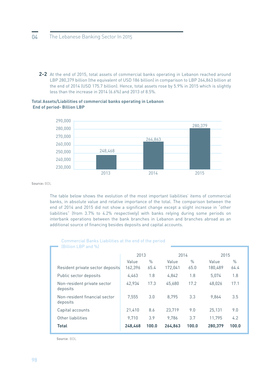At the end of 2015, total assets of commercial banks operating in Lebanon reached around **2-2** LBP 280,379 billion (the equivalent of USD 186 billion) in comparison to LBP 264,863 billion at the end of 2014 (USD 175.7 billion). Hence, total assets rose by 5.9% in 2015 which is slightly less than the increase in 2014 (6.6%) and 2013 of 8.5%.

#### **Total Assets/Liabilities of commercial banks operating in Lebanon End of period- Billion LBP**



**Source:** BDL

The table below shows the evolution of the most important liabilities' items of commercial banks, in absolute value and relative importance of the total. The comparison between the end of 2014 and 2015 did not show a significant change except a slight increase in "other liabilities" (from 3.7% to 4.2% respectively) with banks relying during some periods on interbank operations between the bank branches in Lebanon and branches abroad as an additional source of financing besides deposits and capital accounts.

| $1 - 1$                                   |              |               |         |               |         |       |
|-------------------------------------------|--------------|---------------|---------|---------------|---------|-------|
|                                           | 2013<br>2014 |               |         | 2015          |         |       |
|                                           | Value        | $\frac{0}{0}$ | Value   | $\frac{0}{0}$ | Value   | $\%$  |
| Resident private sector deposits          | 162,396      | 65.4          | 172,041 | 65.0          | 180,489 | 64.4  |
| Public sector deposits                    | 4,463        | 1.8           | 4,842   | 1.8           | 5,074   | 1.8   |
| Non-resident private sector<br>deposits   | 42,934       | 17.3          | 45.680  | 17.2          | 48,026  | 17.1  |
| Non-resident financial sector<br>deposits | 7,555        | 3.0           | 8,795   | 3.3           | 9,864   | 3.5   |
| Capital accounts                          | 21,410       | 8.6           | 23,719  | 9.0           | 25,131  | 9.0   |
| Other liabilities                         | 9,710        | 3.9           | 9.786   | 3.7           | 11,795  | 4.2   |
| <b>Total</b>                              | 248,468      | 100.0         | 264,863 | 100.0         | 280,379 | 100.0 |

#### Commercial Banks Liabilities at the end of the period (Billion LBP and %)

**Source**: BDL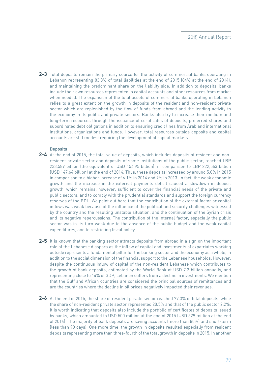Total deposits remain the primary source for the activity of commercial banks operating in **2-3** Lebanon representing 83.3% of total liabilities at the end of 2015 (84% at the end of 2014), and maintaining the predominant share on the liability side. In addition to deposits, banks include their own resources represented in capital accounts and other resources from market when needed. The expansion of the total assets of commercial banks operating in Lebanon relies to a great extent on the growth in deposits of the resident and non-resident private sector which are replenished by the flow of funds from abroad and the lending activity to the economy in its public and private sectors. Banks also try to increase their medium and long-term resources through the issuance of certificates of deposits, preferred shares and subordinated debt obligations in addition to ensuring credit lines from Arab and international institutions, organizations and funds. However, total resources outside deposits and capital accounts are still modest requiring the development of capital markets.

#### **Deposits**

- At the end of 2015, the total value of deposits, which includes deposits of resident and non-**2-4** resident private sector and deposits of some institutions of the public sector, reached LBP 233,589 billion (the equivalent of USD 154.95 billion), in comparison to LBP 222,563 billion (USD 147.64 billion) at the end of 2014. Thus, these deposits increased by around 5.0% in 2015 in comparison to a higher increase of 6.1% in 2014 and 9% in 2013. In fact, the weak economic growth and the increase in the external payments deficit caused a slowdown in deposit growth, which remains, however, sufficient to cover the financial needs of the private and public sectors, and to comply with the prudential standards and support the foreign currency reserves of the BDL. We point out here that the contribution of the external factor or capital inflows was weak because of the influence of the political and security challenges witnessed by the country and the resulting unstable situation, and the continuation of the Syrian crisis and its negative repercussions. The contribution of the internal factor, especially the public sector was in its turn weak due to the absence of the public budget and the weak capital expenditures, and to restricting fiscal policy.
- **2-5** It is known that the banking sector attracts deposits from abroad in a sign on the important role of the Lebanese diaspora as the inflow of capital and investments of expatriates working outside represents a fundamental pillar for the banking sector and the economy as a whole, in addition to the social dimension of the financial support to the Lebanese households. However, despite the continuous inflow of capital of the non-resident Lebanese which contributes to the growth of bank deposits, estimated by the World Bank at USD 7.2 billion annually, and representing close to 14% of GDP, Lebanon suffers from a decline in investments. We mention that the Gulf and African countries are considered the principal sources of remittances and are the countries where the decline in oil prices negatively impacted their revenues.
- At the end of 2015, the share of resident private sector reached 77.3% of total deposits, while **2-6**the share of non-resident private sector represented 20.5% and that of the public sector 2.2%. It is worth indicating that deposits also include the portfolio of certificates of deposits issued by banks, which amounted to USD 500 million at the end of 2015 (USD 529 million at the end of 2014). The majority of bank deposits are saving accounts (more than 80%) and short-term (less than 90 days). One more time, the growth in deposits resulted especially from resident deposits representing more than three-fourth of the total growth in deposits in 2015. In another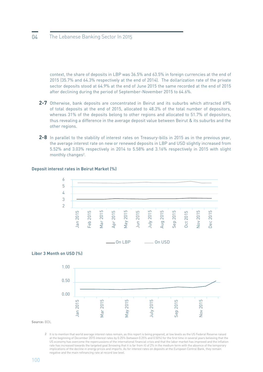context, the share of deposits in LBP was 36.5% and 63.5% in foreign currencies at the end of 2015 (35.7% and 64.3% respectively at the end of 2014). The dollarization rate of the private sector deposits stood at 64.9% at the end of June 2015 the same recorded at the end of 2015 after declining during the period of September-November 2015 to 64.6%.

- Otherwise, bank deposits are concentrated in Beirut and its suburbs which attracted 69% **2-7** of total deposits at the end of 2015, allocated to 48.3% of the total number of depositors, whereas 31% of the deposits belong to other regions and allocated to 51.7% of depositors, thus revealing a difference in the average deposit value between Beirut & its suburbs and the other regions.
- In parallel to the stability of interest rates on Treasury-bills in 2015 as in the previous year, **2-8** the average interest rate on new or renewed deposits in LBP and USD slightly increased from 5.52% and 3.03% respectively in 2014 to 5.58% and 3.16% respectively in 2015 with slight monthly changes<sup>2</sup>.



#### **Deposit interest rates in Beirut Market (%)**

#### **Libor 3 Month on USD (%)**



**Source:** BDL

It is to mention that world average interest rates remain, as this report is being prepared, at low levels as the US Federal Reserve raised at the beginning of December 2015 interest rates by 0.25% (between 0.25% and 0.50%) for the first time in several years believing that the US economy has overcome the repercussions of the international financial crisis and that the labor market has improved and the inflation rate has increased towards the targeted goal (knowing that it is far from it) of 2% in the medium term with the absence of the temporary implications of the decline in energy prices and imports. As for interest rates on deposits at the European Central Bank, they remain negative and the main refinancing rate at record low level. 2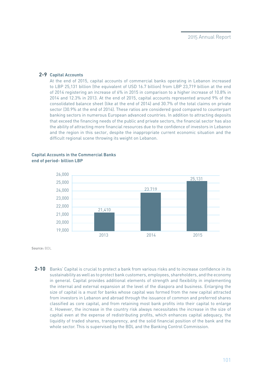#### **Capital Accounts 2-9**

At the end of 2015, capital accounts of commercial banks operating in Lebanon increased to LBP 25,131 billion (the equivalent of USD 16.7 billion) from LBP 23,719 billion at the end of 2014 registering an increase of 6% in 2015 in comparison to a higher increase of 10.8% in 2014 and 12.3% in 2013. At the end of 2015, capital accounts represented around 9% of the consolidated balance sheet (like at the end of 2014) and 30.7% of the total claims on private sector (30.9% at the end of 2014). These ratios are considered good compared to counterpart banking sectors in numerous European advanced countries. In addition to attracting deposits that exceed the financing needs of the public and private sectors, the financial sector has also the ability of attracting more financial resources due to the confidence of investors in Lebanon and the region in this sector, despite the inappropriate current economic situation and the difficult regional scene throwing its weight on Lebanon.



#### **Capital Accounts in the Commercial Banks end of period- billion LBP**

**Source:** BDL

Banks' Capital is crucial to protect a bank from various risks and to increase confidence in its **2-10** sustainability as well as to protect bank customers, employees, shareholders, and the economy in general. Capital provides additional elements of strength and flexibility in implementing the internal and external expansion at the level of the diaspora and business. Enlarging the size of capital is a must for banks whose capital was formed from the new capital attracted from investors in Lebanon and abroad through the issuance of common and preferred shares classified as core capital, and from retaining most bank profits into their capital to enlarge it. However, the increase in the country risk always necessitates the increase in the size of capital even at the expense of redistributing profits, which enhances capital adequacy, the liquidity of traded shares, transparency, and the solid financial position of the bank and the whole sector. This is supervised by the BDL and the Banking Control Commission.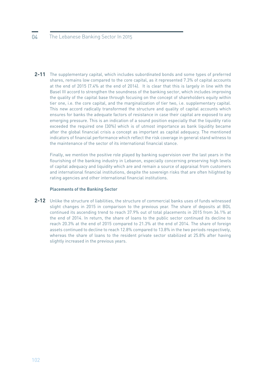The supplementary capital, which includes subordinated bonds and some types of preferred **2-11** shares, remains low compared to the core capital, as it represented 7.3% of capital accounts at the end of 2015 (7.4% at the end of 2014). It is clear that this is largely in line with the Basel III accord to strengthen the soundness of the banking sector, which includes improving the quality of the capital base through focusing on the concept of shareholders equity within tier one, i.e. the core capital, and the marginalization of tier two, i.e. supplementary capital. This new accord radically transformed the structure and quality of capital accounts which ensures for banks the adequate factors of resistance in case their capital are exposed to any emerging pressure. This is an indication of a sound position especially that the liquidity ratio exceeded the required one (30%) which is of utmost importance as bank liquidity became after the global financial crisis a concept as important as capital adequacy. The mentioned indicators of financial performance which reflect the risk coverage in general stand witness to the maintenance of the sector of its international financial stance.

Finally, we mention the positive role played by banking supervision over the last years in the flourishing of the banking industry in Lebanon, especially concerning preserving high levels of capital adequacy and liquidity which are and remain a source of appraisal from customers and international financial institutions, despite the sovereign risks that are often hilighted by rating agencies and other international financial institutions.

#### **Placements of the Banking Sector**

Unlike the structure of liabilities, the structure of commercial banks uses of funds witnessed **2-12**slight changes in 2015 in comparison to the previous year. The share of deposits at BDL continued its ascending trend to reach 37.9% out of total placements in 2015 from 36.1% at the end of 2014. In return, the share of loans to the public sector continued its decline to reach 20.3% at the end of 2015 compared to 21.3% at the end of 2014. The share of foreign assets continued to decline to reach 12.8% compared to 13.8% in the two periods respectively, whereas the share of loans to the resident private sector stabilized at 25.8% after having slightly increased in the previous years.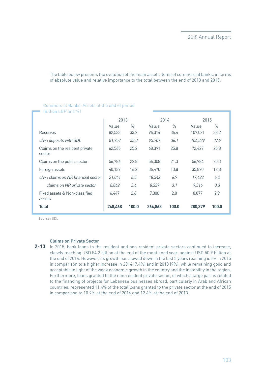The table below presents the evolution of the main assets items of commercial banks, in terms of absolute value and relative importance to the total between the end of 2013 and 2015.

|                                          | 2013<br>2014 |               |         | 2015  |         |       |
|------------------------------------------|--------------|---------------|---------|-------|---------|-------|
|                                          | Value        | $\frac{0}{0}$ | Value   | $\%$  | Value   | $\%$  |
| Reserves                                 | 82,533       | 33.2          | 96,314  | 36.4  | 107,021 | 38.2  |
| o/w : deposits with BDL                  | 81,957       | 33.0          | 95,707  | 36.1  | 106,329 | 37.9  |
| Claims on the resident private<br>sector | 62,565       | 25.2          | 68,391  | 25.8  | 72,427  | 25.8  |
| Claims on the public sector              | 56,786       | 22.8          | 56,308  | 21.3  | 56,984  | 20.3  |
| Foreign assets                           | 40,137       | 16.2          | 36,470  | 13.8  | 35,870  | 12.8  |
| o/w : claims on NR financial sector      | 21,041       | 8.5           | 18.342  | 6.9   | 17,422  | 6.2   |
| claims on NR private sector              | 8,862        | 3.6           | 8,339   | 3.1   | 9,316   | 3.3   |
| Fixed assets & Non-classified<br>assets  | 6,447        | 2.6           | 7,380   | 2.8   | 8,077   | 2.9   |
| <b>Total</b>                             | 248,468      | 100.0         | 264,863 | 100.0 | 280,379 | 100.0 |

#### Commercial Banks' Assets at the end of period (Billion LBP and %)

**Source:** BDL

#### **Claims on Private Sector**

2-13 In 2015, bank loans to the resident and non-resident private sectors continued to increase, closely reaching USD 54.2 billion at the end of the mentioned year, against USD 50.9 billion at the end of 2014. However, its growth has slowed down in the last 5 years reaching 6.5% in 2015 in comparison to a higher increase in 2014 (7.4%) and in 2013 (9%), while remaining good and acceptable in light of the weak economic growth in the country and the instability in the region. Furthermore, loans granted to the non-resident private sector, of which a large part is related to the financing of projects for Lebanese businesses abroad, particularly in Arab and African countries, represented 11.4% of the total loans granted to the private sector at the end of 2015 in comparison to 10.9% at the end of 2014 and 12.4% at the end of 2013.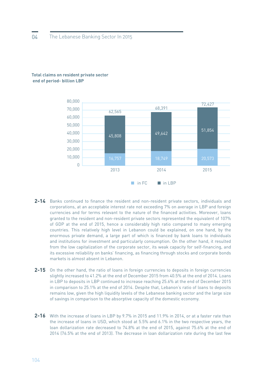

#### **Total claims on resident private sector end of period- billion LBP**

- Banks continued to finance the resident and non-resident private sectors, individuals and **2-14** corporations, at an acceptable interest rate not exceeding 7% on average in LBP and foreign currencies and for terms relevant to the nature of the financed activities. Moreover, loans granted to the resident and non-resident private sectors represented the equivalent of 107% of GDP at the end of 2015, hence a considerably high ratio compared to many emerging countries. This relatively high level in Lebanon could be explained, on one hand, by the enormous private demand, a large part of which is financed by bank loans to individuals and institutions for investment and particularly consumption. On the other hand, it resulted from the low capitalization of the corporate sector, its weak capacity for self-financing, and its excessive reliability on banks' financing, as financing through stocks and corporate bonds markets is almost absent in Lebanon.
- On the other hand, the ratio of loans in foreign currencies to deposits in foreign currencies **2-15** slightly increased to 41.2% at the end of December 2015 from 40.5% at the end of 2014. Loans in LBP to deposits in LBP continued to increase reaching 25.6% at the end of December 2015 in comparison to 25.1% at the end of 2014. Despite that, Lebanon's ratio of loans to deposits remains low, given the high liquidity levels of the Lebanese banking sector and the large size of savings in comparison to the absorptive capacity of the domestic economy.
- With the increase of loans in LBP by 9.7% in 2015 and 11.9% in 2014, or at a faster rate than **2-16**the increase of loans in USD, which stood at 5.5% and 6.1% in the two respective years, the loan dollarization rate decreased to 74.8% at the end of 2015, against 75.6% at the end of 2014 (76.5% at the end of 2013). The decrease in loan dollarization rate during the last few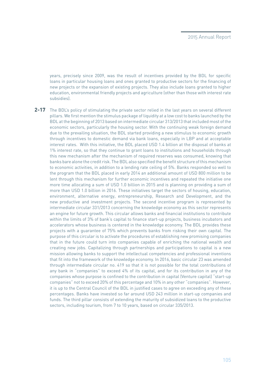years, precisely since 2009, was the result of incentives provided by the BDL for specific loans in particular housing loans and ones granted to productive sectors for the financing of new projects or the expansion of existing projects. They also include loans granted to higher education, environmental friendly projects and agriculture (other than those with interest rate subsidies).

The BDL's policy of stimulating the private sector relied in the last years on several different **2-17**pillars. We first mention the stimulus package of liquidity at a low cost to banks launched by the BDL at the beginning of 2013 based on intermediate circular 313/2013 that included most of the economic sectors, particularly the housing sector. With the continuing weak foreign demand due to the prevailing situation, the BDL started providing a new stimulus to economic growth through incentives to domestic demand via bank loans, especially in LBP and at acceptable interest rates. With this initiative, the BDL placed USD 1.4 billion at the disposal of banks at 1% interest rate, so that they continue to grant loans to institutions and households through this new mechanism after the mechanism of required reserves was consumed, knowing that banks bare alone the credit risk. The BDL also specified the benefit structure of this mechanism to economic activities, in addition to a lending rate ceiling of 5%. Banks responded so well to the program that the BDL placed in early 2014 an additional amount of USD 800 million to be lent through this mechanism for further economic incentives and repeated the initiative one more time allocating a sum of USD 1.0 billion in 2015 and is planning on providing a sum of more than USD 1.0 billion in 2016. These initiatives target the sectors of housing, education, environment, alternative energy, entrepreneurship, Research and Development, and the new productive and investment projects. The second incentive program is represented by intermediate circular 331/2013 concerning the knowledge economy as this sector represents an engine for future growth. This circular allows banks and financial institutions to contribute within the limits of 3% of bank's capital to finance start-up projects, business incubators and accelerators whose business is centered in the knowledge economy. The BDL provides these projects with a guarantee of 75% which prevents banks from risking their own capital. The purpose of this circular is to activate the procedures of establishing new promising companies that in the future could turn into companies capable of enriching the national wealth and creating new jobs. Capitalizing through partnerships and participations to capital is a new mission allowing banks to support the intellectual competencies and professional inventions that fit into the framework of the knowledge economy. In 2016, basic circular 23 was amended through intermediate circular no. 419 so that it is not possible for the total contributions of any bank in "companies" to exceed 4% of its capital, and for its contribution in any of the companies whose purpose is confined to the contribution in capital (Venture capital) "start-up companies" not to exceed 20% of this percentage and 10% in any other "companies". However, it is up to the Central Council of the BDL in justified cases to agree on exceeding any of these percentages. Banks have invested so far around USD 243 million in start-up companies and funds. The third pillar consists of extending the maturity of subsidized loans to the productive sectors, including tourism, from 7 to 10 years, based on circular 335/2013.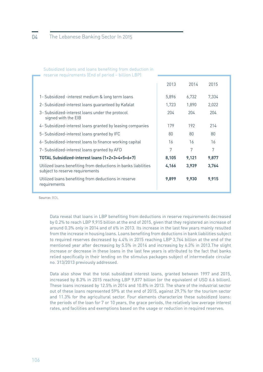| reserve requirements (End of period – billion LBP)                                                |       |       |       |  |
|---------------------------------------------------------------------------------------------------|-------|-------|-------|--|
|                                                                                                   | 2013  | 2014  | 2015  |  |
| 1- Subsidized -interest medium & long term loans                                                  | 5,896 | 6,732 | 7,334 |  |
| 2- Subsidized-interest loans quaranteed by Kafalat                                                | 1,723 | 1,890 | 2,022 |  |
| 3- Subsidized-interest loans under the protocol<br>signed with the EIB                            | 204   | 204   | 204   |  |
| 4- Subsidized-interest loans granted by leasing companies                                         | 179   | 192   | 214   |  |
| 5- Subsidized-interest loans granted by IFC                                                       | 80    | 80    | 80    |  |
| 6- Subsidized-interest loans to finance working capital                                           | 16    | 16    | 16    |  |
| 7- Subsidized-interest loans granted by AFD                                                       | 7     | 7     | 7     |  |
| TOTAL Subsidized-interest loans (1+2+3+4+5+6+7)                                                   | 8,105 | 9,121 | 9,877 |  |
| Utilized loans benefiting from deductions in banks liabilities<br>subject to reserve requirements | 4,166 | 3,939 | 3,764 |  |
| Utilized loans benefiting from deductions in reserve<br>requirements                              | 9,899 | 9,930 | 9,915 |  |
|                                                                                                   |       |       |       |  |

Subsidized loans and loans benefiting from deduction in

**Source:** BDL

Data reveal that loans in LBP benefiting from deductions in reserve requirements decreased by 0.2% to reach LBP 9,915 billion at the end of 2015, given that they registered an increase of around 0.3% only in 2014 and of 6% in 2013. Its increase in the last few years mainly resulted from the increase in housing loans. Loans benefiting from deductions in bank liabilities subject to required reserves decreased by 4.4% in 2015 reaching LBP 3,764 billion at the end of the mentioned year after decreasing by 5.5% in 2014 and increasing by 6.3% in 2013.The slight increase or decrease in these loans in the last few years is attributed to the fact that banks relied specifically in their lending on the stimulus packages subject of intermediate circular no. 313/2013 previously addressed.

Data also show that the total subsidized interest loans, granted between 1997 and 2015, increased by 8.3% in 2015 reaching LBP 9,877 billion (or the equivalent of USD 6.6 billion). These loans increased by 12.5% in 2014 and 10.8% in 2013. The share of the industrial sector out of these loans represented 59% at the end of 2015, against 29.7% for the tourism sector and 11.3% for the agricultural sector. Four elements characterize these subsidized loans: the periods of the loan for 7 or 10 years, the grace periods, the relatively low average interest rates, and facilities and exemptions based on the usage or reduction in required reserves.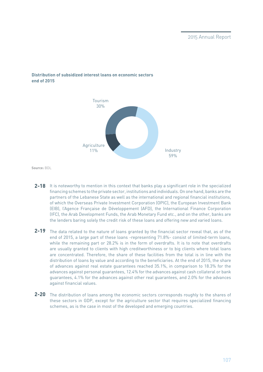

#### **Distribution of subsidized interest loans on economic sectors end of 2015**

**Source:** BDL

- **2-18** It is noteworthy to mention in this context that banks play a significant role in the specialized financing schemes to the private sector, institutions and individuals. On one hand, banks are the partners of the Lebanese State as well as the international and regional financial institutions, of which the Overseas Private Investment Corporation (OPIC), the European Investment Bank (EIB), l'Agence Française de Développement (AFD), the International Finance Corporation (IFC), the Arab Development Funds, the Arab Monetary Fund etc., and on the other, banks are the lenders baring solely the credit risk of these loans and offering new and varied loans.
- 2-19 The data related to the nature of loans granted by the financial sector reveal that, as of the end of 2015, a large part of these loans -representing 71.8%- consist of limited-term loans, while the remaining part or 28.2% is in the form of overdrafts. It is to note that overdrafts are usually granted to clients with high creditworthiness or to big clients where total loans are concentrated. Therefore, the share of these facilities from the total is in line with the distribution of loans by value and according to the beneficiaries. At the end of 2015, the share of advances against real estate guarantees reached 35.1%, in comparison to 18.3% for the advances against personal guarantees, 12.4% for the advances against cash collateral or bank guarantees, 4.1% for the advances against other real guarantees, and 2.0% for the advances against financial values.
- The distribution of loans among the economic sectors corresponds roughly to the shares of **2-20**these sectors in GDP, except for the agriculture sector that requires specialized financing schemes, as is the case in most of the developed and emerging countries.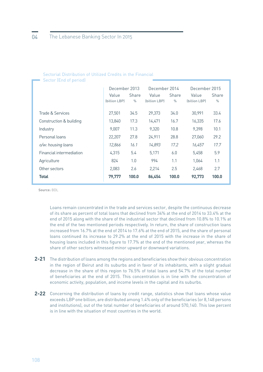|                          |               | December 2013<br>December 2014 |               | December 2015 |               |       |
|--------------------------|---------------|--------------------------------|---------------|---------------|---------------|-------|
|                          | Value         | Share                          | Value         | Share         | Value         | Share |
|                          | (billion LBP) | $\%$                           | (billion LBP) | $\%$          | (billion LBP) | $\%$  |
| Trade & Services         | 27,501        | 34.5                           | 29,373        | 34.0          | 30,991        | 33.4  |
| Construction & building  | 13,840        | 17.3                           | 14,471        | 16.7          | 16,335        | 17.6  |
| Industry                 | 9.007         | 11.3                           | 9,320         | 10.8          | 9,398         | 10.1  |
| Personal loans           | 22,207        | 27.8                           | 24,911        | 28.8          | 27,060        | 29.2  |
| o/w: housing loans       | 12,866        | 16.1                           | 14,893        | 17.2          | 16,457        | 17.7  |
| Financial intermediation | 4,315         | 5.4                            | 5,171         | 6.0           | 5,458         | 5.9   |
| Agriculture              | 824           | 1.0                            | 994           | 1.1           | 1.064         | 1.1   |
| Other sectors            | 2,083         | 2.6                            | 2,214         | 2.5           | 2,468         | 2.7   |
| <b>Total</b>             | 79,777        | 100.0                          | 86,454        | 100.0         | 92,773        | 100.0 |

#### Sectorial Distribution of Utilized Credits in the Financial Sector (End of period)

**Source:** BDL

Loans remain concentrated in the trade and services sector, despite the continuous decrease of its share as percent of total loans that declined from 34% at the end of 2014 to 33.4% at the end of 2015 along with the share of the industrial sector that declined from 10.8% to 10.1% at the end of the two mentioned periods respectively. In return, the share of construction loans increased from 16.7% at the end of 2014 to 17.6% at the end of 2015, and the share of personal loans continued its increase to 29.2% at the end of 2015 with the increase in the share of housing loans included in this figure to 17.7% at the end of the mentioned year, whereas the share of other sectors witnessed minor upward or downward variations.

- The distribution of loans among the regions and beneficiaries show their obvious concentration **2-21** in the region of Beirut and its suburbs and in favor of its inhabitants, with a slight gradual decrease in the share of this region to 76.5% of total loans and 54.7% of the total number of beneficiaries at the end of 2015. This concentration is in line with the concentration of economic activity, population, and income levels in the capital and its suburbs.
- Concerning the distribution of loans by credit range, statistics show that loans whose value **2-22**exceeds LBP one billion, are distributed among 1.4% only of the beneficiaries (or 8,148 persons and institutions), out of the total number of beneficiaries of around 570,140. This low percent is in line with the situation of most countries in the world.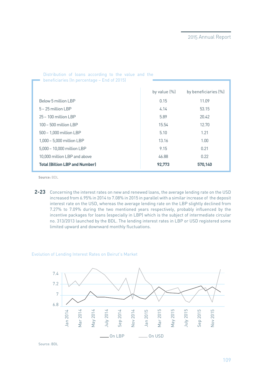| pistingulon or todils according to the value and the |                  |                      |
|------------------------------------------------------|------------------|----------------------|
| beneficiaries (In percentage - End of 2015)          |                  |                      |
|                                                      | by value $(\% )$ | by beneficiaries (%) |
| Below 5 million LBP                                  | 0.15             | 11.09                |
| $5 - 25$ million LBP                                 | 4.14             | 53.15                |
| 25 - 100 million LBP                                 | 5.89             | 20.42                |
| 100 - 500 million LBP                                | 15.54            | 12.70                |
| 500 - 1,000 million LBP                              | 5.10             | 1.21                 |
| 1,000 - 5,000 million LBP                            | 13.16            | 1.00                 |
| 5,000 - 10,000 million LBP                           | 9.15             | 0.21                 |
| 10,000 million LBP and above                         | 46.88            | 0.22                 |
| <b>Total (Billion LBP and Number)</b>                | 92,773           | 570,140              |

Distribution of loans according to the value and the

**Source:** BDL

Concerning the interest rates on new and renewed loans, the average lending rate on the USD **2-23** increased from 6.95% in 2014 to 7.08% in 2015 in parallel with a similar increase of the deposit interest rate on the USD, whereas the average lending rate on the LBP slightly declined from 7.27% to 7.09% during the two mentioned years respectively, probably influenced by the incentive packages for loans (especially in LBP) which is the subject of intermediate circular no. 313/2013 launched by the BDL. The lending interest rates in LBP or USD registered some limited upward and downward monthly fluctuations.

#### Evolution of Lending Interest Rates on Beirut's Market



Source: BDL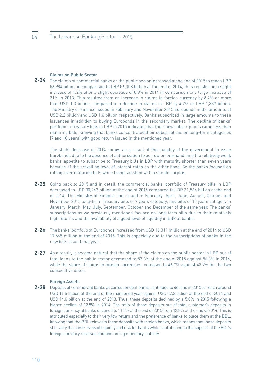#### **Claims on Public Sector**

The claims of commercial banks on the public sector increased at the end of 2015 to reach LBP **2-24** 56,984 billion in comparison to LBP 56,308 billion at the end of 2014, thus registering a slight increase of 1.2% after a slight decrease of 0.8% in 2014 in comparison to a large increase of 21% in 2013. This resulted from an increase in claims in foreign currency by 8.2% or more than USD 1.3 billion, compared to a decline in claims in LBP by 4.2% or LBP 1,337 billion. The Ministry of Finance issued in February and November 2015 Eurobonds in the amounts of USD 2.2 billion and USD 1.6 billion respectively. Banks subscribed in large amounts to these issuances in addition to buying Eurobonds in the secondary market. The decline of banks' portfolio in Treasury bills in LBP in 2015 indicates that their new subscriptions came less than maturing bills, knowing that banks concentrated their subscriptions on long-term categories (7 and 10 years) with good return issued in the mentioned year.

The slight decrease in 2014 comes as a result of the inability of the government to issue Eurobonds due to the absence of authorization to borrow on one hand, and the relatively weak banks' appetite to subscribe to Treasury bills in LBP with maturity shorter than seven years because of the prevailing level of interest rates on the other hand. So the banks focused on rolling-over maturing bills while being satisfied with a simple surplus.

- Going back to 2015 and in detail, the commercial banks' portfolio of Treasury bills in LBP **2-25** decreased to LBP 30,243 billion at the end of 2015 compared to LBP 31,564 billion at the end of 2014. The Ministry of Finance had issued in February, April, June, August, October and November 2015 long-term Treasury bills of 7 years category, and bills of 10 years category in January, March, May, July, September, October and December of the same year. The banks' subscriptions as we previously mentioned focused on long-term bills due to their relatively high returns and the availability of a good level of liquidity in LBP at banks.
- The banks' portfolio of Eurobonds increased from USD 16,311 million at the end of 2014 to USD **2-26** 17,645 million at the end of 2015. This is especially due to the subscriptions of banks in the new bills issued that year.
- As a result, it became natural that the share of the claims on the public sector in LBP out of **2-27** total loans to the public sector decreased to 53.3% at the end of 2015 against 56.3% in 2014, while the share of claims in foreign currencies increased to 46.7% against 43.7% for the two consecutive dates.

#### **Foreign Assets**

Deposits of commercial banks at correspondent banks continued to decline in 2015 to reach around **2-28**USD 11.6 billion at the end of the mentioned year against USD 12.2 billion at the end of 2014 and USD 14.0 billion at the end of 2013. Thus, these deposits declined by a 5.0% in 2015 following a higher decline of 12.8% in 2014. The ratio of these deposits out of total customer's deposits in foreign currency at banks declined to 11.8% at the end of 2015 from 12.8% at the end of 2014. This is attributed especially to their very low return and the preference of banks to place them at the BDL, knowing that the BDL reinvests these deposits with foreign banks, which means that these deposits still carry the same levels of liquidity and risk for banks while contributing to the support of the BDL's foreign currency reserves and reinforcing monetary stability.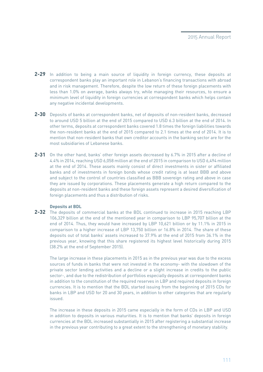- In addition to being a main source of liquidity in foreign currency, these deposits at **2-29** correspondent banks play an important role in Lebanon's financing transactions with abroad and in risk management. Therefore, despite the low return of these foreign placements with less than 1.0% on average, banks always try, while managing their resources, to ensure a minimum level of liquidity in foreign currencies at correspondent banks which helps contain any negative incidental developments.
- Deposits of banks at correspondent banks, net of deposits of non-resident banks, decreased **2-30** to around USD 5 billion at the end of 2015 compared to USD 6.3 billion at the end of 2014. In other terms, deposits at correspondent banks covered 1.8 times the foreign liabilities towards the non-resident banks at the end of 2015 compared to 2.1 times at the end of 2014. It is to mention that non-resident banks that own creditor accounts in the banking sector are for the most subsidiaries of Lebanese banks.
- On the other hand, banks' other foreign assets decreased by 6.7% in 2015 after a decline of **2-31** 4.4% in 2014, reaching USD 6,058 million at the end of 2015 in comparison to USD 6,494 million at the end of 2014. These assets mainly consist of direct investments in sister or affiliated banks and of investments in foreign bonds whose credit rating is at least BBB and above and subject to the control of countries classified as BBB sovereign rating and above in case they are issued by corporations. These placements generate a high return compared to the deposits at non-resident banks and these foreign assets represent a desired diversification of foreign placements and thus a distribution of risks.

#### **Deposits at BDL**

The deposits of commercial banks at the BDL continued to increase in 2015 reaching LBP **2-32**106,329 billion at the end of the mentioned year in comparison to LBP 95,707 billion at the end of 2014. Thus, they would have increased by LBP 10,621 billion or by 11.1% in 2015 in comparison to a higher increase of LBP 13,750 billion or 16.8% in 2014. The share of these deposits out of total banks' assets increased to 37.9% at the end of 2015 from 36.1% in the previous year, knowing that this share registered its highest level historically during 2015 (38.2% at the end of September 2015).

The large increase in these placements in 2015 as in the previous year was due to the excess sources of funds in banks that were not invested in the economy- with the slowdown of the private sector lending activities and a decline or a slight increase in credits to the public sector-, and due to the redistribution of portfolios especially deposits at correspondent banks in addition to the constitution of the required reserves in LBP and required deposits in foreign currencies. It is to mention that the BDL started issuing from the beginning of 2015 CDs for banks in LBP and USD for 20 and 30 years, in addition to other categories that are regularly issued.

The increase in these deposits in 2015 came especially in the form of CDs in LBP and USD in addition to deposits in various maturities. It is to mention that banks' deposits in foreign currencies at the BDL increased substantially in 2015 after registering a substantial increase in the previous year contributing to a great extent to the strengthening of monetary stability.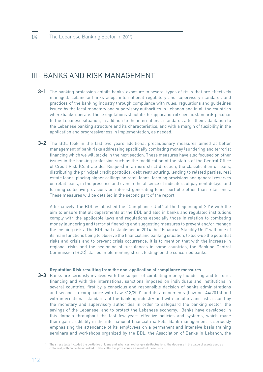## III- BANKS AND RISK MANAGEMENT

- **3-1** The banking profession entails banks' exposure to several types of risks that are effectively managed. Lebanese banks adopt international regulatory and supervisory standards and practices of the banking industry through compliance with rules, regulations and guidelines issued by the local monetary and supervisory authorities in Lebanon and in all the countries where banks operate. These regulations stipulate the application of specific standards peculiar to the Lebanese situation, in addition to the international standards after their adaptation to the Lebanese banking structure and its characteristics, and with a margin of flexibility in the application and progressiveness in implementation, as needed.
- **3-2** The BDL took in the last two years additional precautionary measures aimed at better management of bank risks addressing specifically combating money laundering and terrorist financing which we will tackle in the next section. These measures have also focused on other issues in the banking profession such as the modification of the status of the Central Office of Credit Risk (Centrale des Risques) in a more strict direction, the classification of loans, distributing the principal credit portfolios, debt restructuring, lending to related parties, real estate loans, placing higher ceilings on retail loans, forming provisions and general reserves on retail loans, in the presence and even in the absence of indicators of payment delays, and forming collective provisions on interest generating loans portfolio other than retail ones. These measures will be detailed in the second part of the report.

Alternatively, the BDL established the "Compliance Unit" at the beginning of 2016 with the aim to ensure that all departments at the BDL and also in banks and regulated institutions comply with the applicable laws and regulations especially those in relation to combating money laundering and terrorist financing and suggesting measures to prevent and/or manage the ensuing risks. The BDL had established in 2014 the "Financial Stability Unit" with one of its main functions being to observe the financial and banking situation, to look-up the potential risks and crisis and to prevent crisis occurrence. It is to mention that with the increase in regional risks and the beginning of turbulences in some countries, the Banking Control Commission (BCC) started implementing stress testing<sup>3</sup> on the concerned banks.

#### **Reputation Risk resulting from the non-application of compliance measures**

**3-3** Banks are seriously involved with the subject of combating money laundering and terrorist financing and with the international sanctions imposed on individuals and institutions in several countries, first by a conscious and responsible decision of banks administrations and second, in compliance with Law 318/2001 and its amendments (Law no. 44/2015) and with international standards of the banking industry and with circulars and lists issued by the monetary and supervisory authorities in order to safeguard the banking sector, the savings of the Lebanese, and to protect the Lebanese economy. Banks have developed in this domain throughout the last few years effective policies and systems, which made them gain credibility in the international financial markets. Bank management is seriously emphasizing the attendance of its employees on a permanent and intensive basis training seminars and workshops organized by the BDL, the Association of Banks in Lebanon, the

The stress tests included the portfolios of loans and advances, exchange rate fluctuations, the decrease in the value of assets used as 3collateral, with banks being asked to take collective provisions as a result of these tests.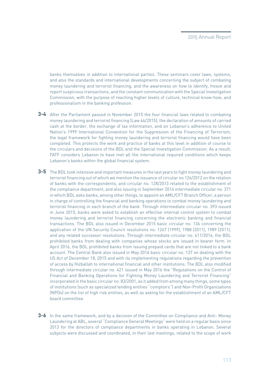banks themselves in addition to international parties. These seminars cover laws, systems, and also the standards and international developments concerning the subject of combating money laundering and terrorist financing, and the awareness on how to identify, freeze and report suspicious transactions, and the constant communication with the Special Investigation Commission, with the purpose of reaching higher levels of culture, technical know-how, and professionalism in the banking profession.

- **3-4** After the Parliament passed in November 2015 the four financial laws related to combating money laundering and terrorist financing (Law 44/2015), the declaration of amounts of carried cash at the border, the exchange of tax information, and on Lebanon's adherence to United Nation's 1999 International Convention for the Suppression of the Financing of Terrorism, the legal framework for fighting money laundering and terrorist financing would have been completed. This protects the work and practice of banks at this level in addition of course to the circulars and decisions of the BDL and the Special Investigation Commission. As a result, FATF considers Lebanon to have met all the international required conditions which keeps Lebanon's banks within the global financial system.
- The BDL took intensive and important measures in the last years to fight money laundering and **3-5** terrorist financing out of which we mention the issuance of circular no 126/2012 on the relation of banks with the correspondents, and circular no. 128/2013 related to the establishment of the compliance department, and also issuing in September 2014 intermediate circular no. 371 in which BDL asks banks, among other things, to appoint an AML/CFT Branch Officer, a person in charge of controlling the financial and banking operations to combat money laundering and terrorist financing in each branch of the bank. Through intermediate circular no. 393 issued in June 2015, banks were asked to establish an effective internal control system to combat money laundering and terrorist financing concerning the electronic banking and financial transactions. The BDL also issued in December 2015 basic circular no. 136 concerning the application of the UN Security Council resolutions no. 1267 (1999), 1988 (2011), 1989 (2011), and any related successor resolutions. Through intermediate circular no. 411/2016, the BDL prohibited banks from dealing with companies whose stocks are issued in bearer form. In April 2016, the BDL prohibited banks from issuing prepaid cards that are not linked to a bank account. The Central Bank also issued in May 2016 basic circular no. 137 on dealing with the US Act of December 18, 2015 and with its implementing regulations regarding the prevention of access by Hizballah to international financial and other institutions. The BDL also modified through intermediate circular no. 421 issued in May 2016 the "Regulations on the Control of Financial and Banking Operations for Fighting Money Laundering and Terrorist Financing" incorporated in the basic circular no. 83/2001, as it added from among many things, some types of institutions (such as specialized lending entities "comptoirs") and Non-Profit Organizations (NPOs) on the list of high risk entities, as well as asking for the establishment of an AML/CFT board committee.
- **3-6** In the same framework, and by a decision of the Committee on Compliance and Anti-Money Laundering at ABL, several "Compliance General Meetings" were held on a regular basis since 2013 for the directors of compliance departments in banks operating in Lebanon. Several subjects were discussed and coordinated, in their last meetings, related to the scope of work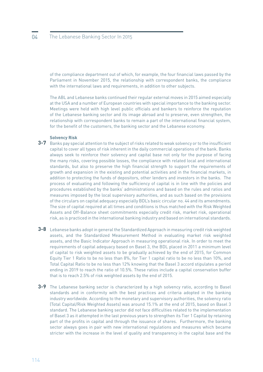of the compliance department out of which, for example, the four financial laws passed by the Parliament in November 2015, the relationship with correspondent banks, the compliance with the international laws and requirements, in addition to other subjects.

The ABL and Lebanese banks continued their regular external moves in 2015 aimed especially at the USA and a number of European countries with special importance to the banking sector. Meetings were held with high level public officials and bankers to reinforce the reputation of the Lebanese banking sector and its image abroad and to preserve, even strengthen, the relationship with correspondent banks to remain a part of the international financial system, for the benefit of the customers, the banking sector and the Lebanese economy.

#### **Solvency Risk**

- Banks pay special attention to the subject of risks related to weak solvency or to the insufficient **3-7** capital to cover all types of risk inherent in the daily commercial operations of the bank. Banks always seek to reinforce their solvency and capital base not only for the purpose of facing the many risks, covering possible losses, the compliance with related local and international standards, but also to preserve the high financial strength to support the requirements of growth and expansion in the existing and potential activities and in the financial markets, in addition to protecting the funds of depositors, other lenders and investors in the banks. The process of evaluating and following the sufficiency of capital is in line with the policies and procedures established by the banks' administrations and based on the rules and ratios and measures imposed by the local supervisory authorities, and as such based on the provisions of the circulars on capital adequacy especially BDL's basic circular no. 44 and its amendments. The size of capital required at all times and conditions is thus matched with the Risk Weighted Assets and Off-Balance sheet commitments especially credit risk, market risk, operational risk, as is practiced in the international banking industry and based on international standards.
- Lebanese banks adopt in general the Standardized Approach in measuring credit risk weighted **3-8** assets, and the Standardized Measurement Method in evaluating market risk weighted assets, and the Basic Indicator Approach in measuring operational risk. In order to meet the requirements of capital adequacy based on Basel 3, the BDL placed in 2011 a minimum level of capital to risk weighted assets to be gradually achieved by the end of 2015, for Common Equity Tier 1 Ratio to be no less than 8%, for Tier 1 capital ratio to be no less than 10%, and Total Capital Ratio to be no less than 12% knowing that the Basel 3 accord stipulates a period ending in 2019 to reach the ratio of 10.5%. These ratios include a capital conservation buffer that is to reach 2.5% of risk weighted assets by the end of 2015.
- **3-9** The Lebanese banking sector is characterized by a high solvency ratio, according to Basel standards and in conformity with the best practices and criteria adopted in the banking industry worldwide. According to the monetary and supervisory authorities, the solvency ratio (Total Capital/Risk Weighted Assets) was around 15.1% at the end of 2015, based on Basel 3 standard. The Lebanese banking sector did not face difficulties related to the implementation of Basel 3 as it attempted in the last previous years to strengthen its Tier 1 Capital by retaining part of the profits in capital and through the issuance of shares. Furthermore, the banking sector always goes in pair with new international regulations and measures which became stricter with the increase in the level of quality and transparency in the capital base and the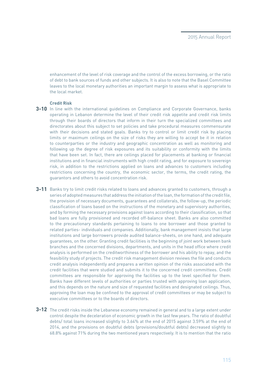enhancement of the level of risk coverage and the control of the excess borrowing, or the ratio of debt to bank sources of funds and other subjects. It is also to note that the Basel Committee leaves to the local monetary authorities an important margin to assess what is appropriate to the local market.

#### **Credit Risk**

- **3-10** In line with the international guidelines on Compliance and Corporate Governance, banks operating in Lebanon determine the level of their credit risk appetite and credit risk limits through their boards of directors that inform in their turn the specialized committees and directorates about this subject to set policies and take procedural measures commensurate with their decisions and stated goals. Banks try to control or limit credit risk by placing limits or maximum ceilings on the size of risks they are willing to accept be it in relation to counterparties or the industry and geographic concentration as well as monitoring and following up the degree of risk exposures and its suitability or conformity with the limits that have been set. In fact, there are ceilings placed for placements at banking or financial institutions and in financial instruments with high credit rating, and for exposure to sovereign risk, in addition to the restrictions applied on loans and advances to customers including restrictions concerning the country, the economic sector, the terms, the credit rating, the guarantors and others to avoid concentration risk.
- **3-11** Banks try to limit credit risks related to loans and advances granted to customers, through a series of adopted measures that address the initiation of the loan, the formation of the credit file, the provision of necessary documents, guarantees and collaterals, the follow-up, the periodic classification of loans based on the instructions of the monetary and supervisory authorities, and by forming the necessary provisions against loans according to their classification, so that bad loans are fully provisioned and recorded off-balance sheet. Banks are also committed to the precautionary standards pertaining to loans to one borrower and those granted to related parties- individuals and companies. Additionally, bank management insists that large institutions and large borrowers provide audited balance-sheets, on one hand, and adequate guarantees, on the other. Granting credit facilities is the beginning of joint work between bank branches and the concerned divisions, departments, and units in the head office where credit analysis is performed on the creditworthiness of the borrower and his ability to repay, and the feasibility study of projects. The credit risk management division reviews the file and conducts credit analysis independently and prepares a written opinion of the risks associated with the credit facilities that were studied and submits it to the concerned credit committees. Credit committees are responsible for approving the facilities up to the level specified for them. Banks have different levels of authorities or parties trusted with approving loan application, and this depends on the nature and size of requested facilities and designated ceilings. Thus, approving the loan may be confined to the approval of credit committees or may be subject to executive committees or to the boards of directors.
- **3-12** The credit risks inside the Lebanese economy remained in general and to a large extent under control despite the deceleration of economic growth in the last few years. The ratio of doubtful debts/ total loans increased slightly to 3.64% at the end of 2015 against 3.59% at the end of 2014, and the provisions on doubtful debts (provisions/doubtful debts) decreased slightly to 68.8% against 71% during the two mentioned years respectively. It is to mention that the ratio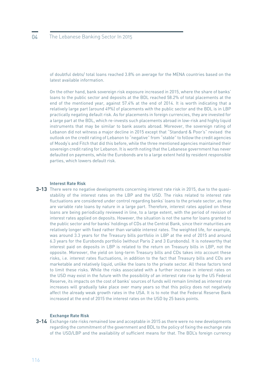of doubtful debts/ total loans reached 3.8% on average for the MENA countries based on the latest available information.

On the other hand, bank sovereign risk exposure increased in 2015, where the share of banks' loans to the public sector and deposits at the BDL reached 58.2% of total placements at the end of the mentioned year, against 57.4% at the end of 2014. It is worth indicating that a relatively large part (around 49%) of placements with the public sector and the BDL is in LBP practically negating default risk. As for placements in foreign currencies, they are invested for a large part at the BDL, which re-invests such placements abroad in low-risk and highly liquid instruments that may be similar to bank assets abroad. Moreover, the sovereign rating of Lebanon did not witness a major decline in 2015 except that "Standard & Poor's" revised the outlook on the credit rating of Lebanon to "negative" from "stable" to follow the credit agencies of Moody's and Fitch that did this before, while the three mentioned agencies maintained their sovereign credit rating for Lebanon. It is worth noting that the Lebanese government has never defaulted on payments, while the Eurobonds are to a large extent held by resident responsible parties, which lowers default risk.

#### **Interest Rate Risk**

**3-13** There were no negative developments concerning interest rate risk in 2015, due to the quasistability of the interest rates on the LBP and the USD. The risks related to interest rate fluctuations are considered under control regarding banks' loans to the private sector, as they are variable rate loans by nature in a large part. Therefore, interest rates applied on these loans are being periodically reviewed in line, to a large extent, with the period of revision of interest rates applied on deposits. However, the situation is not the same for loans granted to the public sector and for banks' holdings of CDs at the Central Bank, since their maturities are relatively longer with fixed rather than variable interest rates. The weighted life, for example, was around 3.3 years for the Treasury bills portfolio in LBP at the end of 2015 and around 6.3 years for the Eurobonds portfolio (without Paris 2 and 3 Eurobonds). It is noteworthy that interest paid on deposits in LBP is related to the return on Treasury bills in LBP, not the opposite. Moreover, the yield on long-term Treasury bills and CDs takes into account these risks, i.e. interest rates fluctuations, in addition to the fact that Treasury bills and CDs are marketable and relatively liquid, unlike the loans to the private sector. All these factors tend to limit these risks. While the risks associated with a further increase in interest rates on the USD may exist in the future with the possibility of an interest rate rise by the US Federal Reserve, its impacts on the cost of banks' sources of funds will remain limited as interest rate increases will gradually take place over many years so that this policy does not negatively affect the already weak growth rates in the USA. It is to note that the Federal Reserve Bank increased at the end of 2015 the interest rates on the USD by 25 basis points.

#### **Exchange Rate Risk**

Exchange rate risks remained low and acceptable in 2015 as there were no new developments **3-14**regarding the commitment of the government and BDL to the policy of fixing the exchange rate of the USD/LBP and the availability of sufficient means for that. The BDL's foreign currency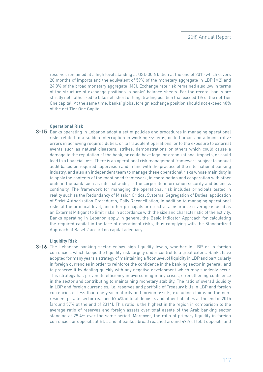reserves remained at a high level standing at USD 30.6 billion at the end of 2015 which covers 20 months of imports and the equivalent of 59% of the monetary aggregate in LBP (M2) and 24.8% of the broad monetary aggregate (M3). Exchange rate risk remained also low in terms of the structure of exchange positions in banks' balance-sheets. For the record, banks are strictly not authorized to take net, short or long, trading position that exceed 1% of the net Tier One capital. At the same time, banks' global foreign exchange position should not exceed 40% of the net Tier One Capital.

#### **Operational Risk**

**3-15** Banks operating in Lebanon adopt a set of policies and procedures in managing operational risks related to a sudden interruption in working systems, or to human and administrative errors in achieving required duties, or to fraudulent operations, or to the exposure to external events such as natural disasters, strikes, demonstrations or others which could cause a damage to the reputation of the bank, or could have legal or organizational impacts, or could lead to a financial loss. There is an operational risk management framework subject to annual audit based on required supervision and in line with the practice of the international banking industry, and also an independent team to manage these operational risks whose main duty is to apply the contents of the mentioned framework, in coordination and cooperation with other units in the bank such as internal audit, or the corporate information security and business continuity. The framework for managing the operational risk includes principals tested in reality such as the Redundancy of Mission Critical Systems, Segregation of Duties, application of Strict Authorization Procedures, Daily Reconciliation, in addition to managing operational risks at the practical level, and other principals or directives. Insurance coverage is used as an External Mitigant to limit risks in accordance with the size and characteristic of the activity. Banks operating in Lebanon apply in general the Basic Indicator Approach for calculating the required capital in the face of operational risks, thus complying with the Standardized Approach of Basel 2 accord on capital adequacy.

#### **Liquidity Risk**

**3-16** The Lebanese banking sector enjoys high liquidity levels, whether in LBP or in foreign currencies, which keeps the liquidity risk largely under control to a great extent. Banks have adopted for many years a strategy of maintaining a floor level of liquidity in LBP and particularly in foreign currencies in order to reinforce the confidence in the banking sector in general, and to preserve it by dealing quickly with any negative development which may suddenly occur. This strategy has proven its efficiency in overcoming many crises, strengthening confidence in the sector and contributing to maintaining monetary stability. The ratio of overall liquidity in LBP and foreign currencies, i.e. reserves and portfolio of Treasury bills in LBP and foreign currencies of less than one year maturity and foreign assets, excluding claims on the nonresident private sector reached 57.4% of total deposits and other liabilities at the end of 2015 (around 57% at the end of 2014). This ratio is the highest in the region in comparison to the average ratio of reserves and foreign assets over total assets of the Arab banking sector standing at 29.4% over the same period. Moreover, the ratio of primary liquidity in foreign currencies or deposits at BDL and at banks abroad reached around 47% of total deposits and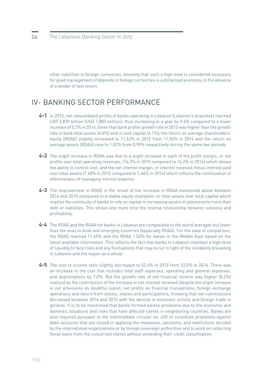other liabilities in foreign currencies, knowing that such a high level is considered necessary for good management of deposits in foreign currencies in a dollarized economy, in the absence of a lender of last resort.

# IV- BANKING SECTOR PERFORMANCE

- In 2015, net consolidated profits of banks operating in Lebanon (Lebanon's branches) reached **4-1** LBP 2,839 billion (USD 1,883 million), thus increasing in a year by 9.6% compared to a lower increase of 5.3% in 2014. Given that bank profits growth rate in 2015 was higher than the growth rate in bank total assets (6.0%) and in core capital (6.1%), the return on average shareholders' equity (ROAE) slightly increased to 11.63% in 2015 from 11.56% in 2014 and the return on average assets (ROAA) rose to 1.02% from 0.99% respectively during the same two periods.
- The slight increase in ROAA was due to a slight increase in each of the profit margin, or net **4-2** profits over total operating revenues, (16.3% in 2015 compared to 16.2% in 2014) which shows the ability to control cost, and the net interest margin, or interest received minus interest paid over total assets (1.68% in 2015 compared to 1.66% in 2014) which reflects the continuation of effectiveness of managing interest expense.
- The improvement in ROAE is the result of the increase in ROAA mentioned above between **4-3** 2014 and 2015 compared to a stable equity multiplier, or total assets over total capital which implies the continuity of banks to rely on capital in increasing assets or placements more than debt or liabilities. This shows one more time the inverse relationship between solvency and profitability.
- The ROAE and the ROAA for banks in Lebanon are comparable to the world averages but lower **4-4** than the ones in Arab and emerging countries (especially ROAA). For the sake of comparison, the ROAE reached 11.65% and the ROAA 1.52% for banks in the Middle-East based on the latest available information. This reflects the fact that banks in Lebanon maintain a high level of liquidity to face risks and any fluctuations that may occur in light of the instability prevailing in Lebanon and the region as a whole.
- The cost to income ratio slightly decreased to 52.4% in 2015 from 53.0% in 2014. There was **4-5**an increase in the cost that includes total staff expenses, operating and general expenses, and depreciations by 7.0%. But the growth rate of net financial income was higher (8.2%) realized by the contribution of the increase in net interest received (despite the slight increase in net provisions on doubtful loans), net profits on financial transactions, foreign exchange operations and return from stocks, shares and participations, knowing that net commissions decreased between 2014 and 2015 with the decline in economic activity and foreign trade in general. It is to be mentioned that banks formed excess provisions due to the economic and domestic situations and risks that have affected clients in neighboring countries. Banks are also required pursuant to the intermediate circular no. 420 to constitute provisions against debit accounts that are closed in applying the measures, sanctions, and restrictions decided by the international organizations or by foreign sovereign authorities and to work on collecting these loans from the concerned clients without amending their credit classification.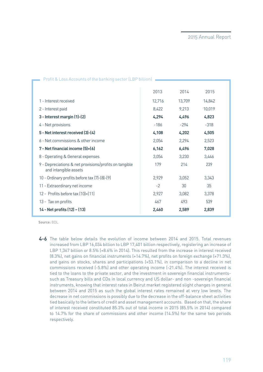| $\Gamma$ rolled Loss Accounts of the Daliking Sector (LDF Dittion) $\blacksquare$ |        |        |        |  |
|-----------------------------------------------------------------------------------|--------|--------|--------|--|
|                                                                                   | 2013   | 2014   | 2015   |  |
| 1 - Interest received                                                             | 12,716 | 13,709 | 14,842 |  |
| 2 - Interest paid                                                                 | 8,422  | 9,213  | 10,019 |  |
| 3 - Interest margin (1)-(2)                                                       | 4,294  | 4,496  | 4,823  |  |
| 4 - Net provisions                                                                | $-186$ | $-294$ | $-318$ |  |
| 5 - Net interest received (3)-(4)                                                 | 4,108  | 4,202  | 4,505  |  |
| 6 - Net commissions & other income                                                | 2,054  | 2,294  | 2,523  |  |
| 7 - Net financial income (5)+(6)                                                  | 6,162  | 6,496  | 7,028  |  |
| 8 - Operating & General expenses                                                  | 3,054  | 3,230  | 3,446  |  |
| 9 - Depreciations & net provisions/profits on tangible<br>and intangible assets   | 179    | 214    | 239    |  |
| 10 - Ordinary profits before tax (7)-(8)-(9)                                      | 2,929  | 3,052  | 3,343  |  |
| 11 - Extraordinary net income                                                     | $-2$   | 30     | 35     |  |
| 12 - Profits before tax (10)+(11)                                                 | 2,927  | 3,082  | 3,378  |  |
| 13 - Tax on profits                                                               | 467    | 493    | 539    |  |
| 14 - Net profits (12) - (13)                                                      | 2,460  | 2,589  | 2,839  |  |

 $P_{\text{max}} = \text{R}_p + \text{R}_p$  (LDD billion)

**Source:** BDL

The table below details the evolution of income between 2014 and 2015. Total revenues **4-6** increased from LBP 16,034 billion to LBP 17,401 billion respectively, registering an increase of LBP 1,367 billion or 8.5% (+8.6% in 2014). This resulted from the increase in interest received (8.3%), net gains on financial instruments (+14.7%), net profits on foreign exchange (+71.3%), and gains on stocks, shares and participations (+53.1%), in comparison to a decline in net commissions received (-5.8%) and other operating income (-21.4%). The interest received is tied to the loans to the private sector, and the investment in sovereign financial instrumentssuch as Treasury bills and CDs in local currency and US dollar- and non -sovereign financial instruments, knowing that interest rates in Beirut market registered slight changes in general between 2014 and 2015 as such the global interest rates remained at very low levels. The decrease in net commissions is possibly due to the decrease in the off-balance sheet activities tied basically to the letters of credit and asset management accounts. Based on that, the share of interest received constituted 85.3% out of total income in 2015 (85.5% in 2014) compared to 14.7% for the share of commissions and other income (14.5%) for the same two periods respectively.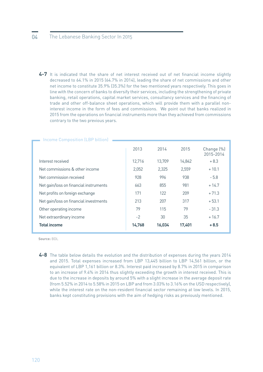It is indicated that the share of net interest received out of net financial income slightly **4-7** decreased to 64.1% in 2015 (64.7% in 2014), leading the share of net commissions and other net income to constitute 35.9% (35.3%) for the two mentioned years respectively. This goes in line with the concern of banks to diversify their services, including the strengthening of private banking, retail operations, capital market services, consultancy services and the financing of trade and other off-balance sheet operations, which will provide them with a parallel noninterest income in the form of fees and commissions. We point out that banks realized in 2015 from the operations on financial instruments more than they achieved from commissions contrary to the two previous years.

| <b>Income Composition (LBP billion)</b> |        |        |        |                         |
|-----------------------------------------|--------|--------|--------|-------------------------|
|                                         | 2013   | 2014   | 2015   | Change (%)<br>2015-2014 |
| Interest received                       | 12.716 | 13.709 | 14.842 | $+8.3$                  |
| Net commissions & other income          | 2,052  | 2,325  | 2,559  | $+10.1$                 |
| Net commission received                 | 928    | 996    | 938    | - 5.8                   |
| Net gain/loss on financial instruments  | 663    | 855    | 981    | $+14.7$                 |
| Net profits on foreign exchange         | 171    | 122    | 209    | $+71.3$                 |
| Net gain/loss on financial investments  | 213    | 207    | 317    | $+53.1$                 |
| Other operating income                  | 79     | 115    | 79     | $-31.3$                 |
| Net extraordinary income                | $-2$   | 30     | 35     | $+16.7$                 |
| <b>Total income</b>                     | 14,768 | 16,034 | 17,401 | $+8.5$                  |
|                                         |        |        |        |                         |

**Source:** BDL

The table below details the evolution and the distribution of expenses during the years 2014 **4-8** and 2015. Total expenses increased from LBP 13,445 billion to LBP 14,561 billion, or the equivalent of LBP 1,161 billion or 8.3%. Interest paid increased by 8.7% in 2015 in comparison to an increase of 9.4% in 2014 thus slightly exceeding the growth in interest received. This is due to the increase in deposits by around 5% with a slight increase in the average deposit rate (from 5.52% in 2014 to 5.58% in 2015 on LBP and from 3.03% to 3.16% on the USD respectively), while the interest rate on the non-resident financial sector remaining at low levels. In 2015, banks kept constituting provisions with the aim of hedging risks as previously mentioned.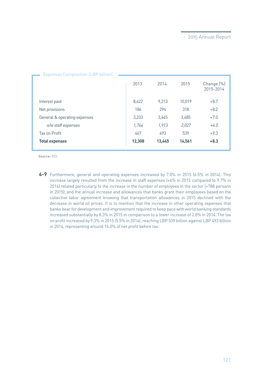| <b>Expenses Composition (LBP billion)</b> |        |        |        |                         |
|-------------------------------------------|--------|--------|--------|-------------------------|
|                                           | 2013   | 2014   | 2015   | Change (%)<br>2015-2014 |
| Interest paid                             | 8,422  | 9,213  | 10,019 | $+8.7$                  |
| Net provisions                            | 186    | 294    | 318    | $+8.2$                  |
| General & operating expenses              | 3,233  | 3.445  | 3.685  | $+7.0$                  |
| o/w staff expenses                        | 1,744  | 1,913  | 2,027  | $+6.0$                  |
| Tax on Profit                             | 467    | 493    | 539    | $+9.3$                  |
| <b>Total expenses</b>                     | 12,308 | 13,445 | 14,561 | $+8.3$                  |
|                                           |        |        |        |                         |

**Source:** BDL

Furthermore, general and operating expenses increased by 7.0% in 2015 (6.5% in 2014). This **4-9** increase largely resulted from the increase in staff expenses (+6% in 2015 compared to 9.7% in 2014) related particularly to the increase in the number of employees in the sector (+788 persons in 2015), and the annual increase and allowances that banks grant their employees based on the collective labor agreement knowing that transportation allowances in 2015 declined with the decrease in world oil prices. It is to mention that the increase in other operating expenses that banks bear for development and improvement required to keep pace with world banking standards increased substantially by 8.3% in 2015 in comparison to a lower increase of 2.8% in 2014. The tax on profit increased by 9.3% in 2015 (5.5% in 2014), reaching LBP 539 billion against LBP 493 billion in 2014, representing around 16.0% of net profit before tax.